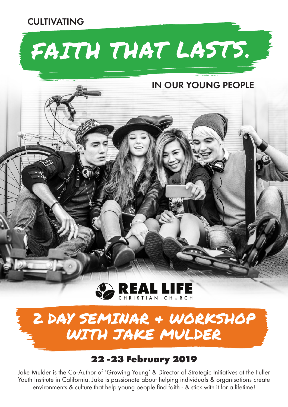#### CULTIVATING

# FAITH THAT LASTS.

#### IN OUR YOUNG PEOPLE



### 2 DAY SEMINAR & WORKSHOP WITH JAKE MULDER

#### **22 -23 February 2019**

Jake Mulder is the Co-Author of 'Growing Young' & Director of Strategic Initiatives at the Fuller Youth Institute in California. Jake is passionate about helping individuals & organisations create environments & culture that help young people find faith - & stick with it for a lifetime!